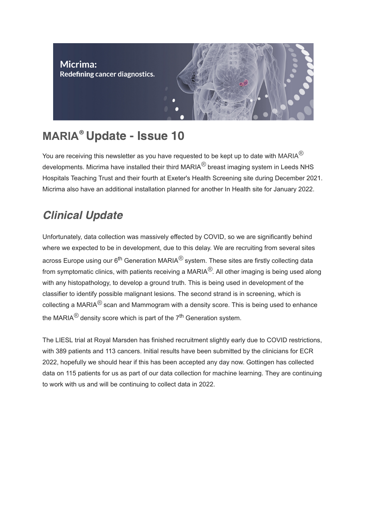

# **MARIA<sup>®</sup> Update - Issue 10**

You are receiving this newsletter as you have requested to be kept up to date with MARIA *®* developments. Micrima have installed their third MARIA<sup>®</sup> breast imaging system in Leeds NHS Hospitals Teaching Trust and their fourth at Exeter's Health Screening site during December 2021. Micrima also have an additional installation planned for another In Health site for January 2022.

### Clinical Update

Unfortunately, data collection was massively effected by COVID, so we are significantly behind where we expected to be in development, due to this delay. We are recruiting from several sites across Europe using our 6<sup>th</sup> Generation MARIA<sup>®</sup> system. These sites are firstly collecting data from symptomatic clinics, with patients receiving a MARIA $^\circledR$ . All other imaging is being used along with any histopathology, to develop a ground truth. This is being used in development of the classifier to identify possible malignant lesions. The second strand is in screening, which is collecting a MARIA $^\circledR$  scan and Mammogram with a density score. This is being used to enhance the MARIA<sup>®</sup> density score which is part of the 7<sup>th</sup> Generation system.

The LIESL trial at Royal Marsden has finished recruitment slightly early due to COVID restrictions, with 389 patients and 113 cancers. Initial results have been submitted by the clinicians for ECR 2022, hopefully we should hear if this has been accepted any day now. Gottingen has collected data on 115 patients for us as part of our data collection for machine learning. They are continuing to work with us and will be continuing to collect data in 2022.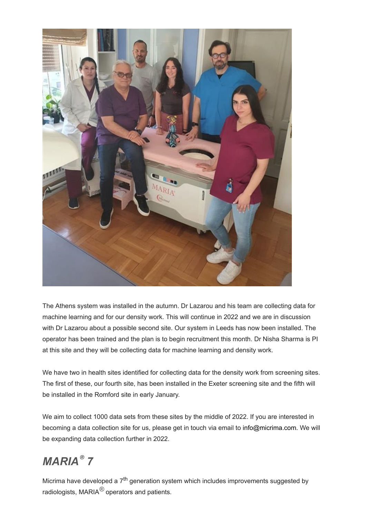

The Athens system was installed in the autumn. Dr Lazarou and his team are collecting data for machine learning and for our density work. This will continue in 2022 and we are in discussion with Dr Lazarou about a possible second site. Our system in Leeds has now been installed. The operator has been trained and the plan is to begin recruitment this month. Dr Nisha Sharma is PI at this site and they will be collecting data for machine learning and density work.

We have two in health sites identified for collecting data for the density work from screening sites. The first of these, our fourth site, has been installed in the Exeter screening site and the fifth will be installed in the Romford site in early January.

We aim to collect 1000 data sets from these sites by the middle of 2022. If you are interested in becoming a data collection site for us, please get in touch via email to info@micrima.com. We will be expanding data collection further in 2022.

## *MARIA 7 ®*

Micrima have developed a  $7^{\sf th}$  generation system which includes improvements suggested by radiologists, MARIA<sup>®</sup> operators and patients.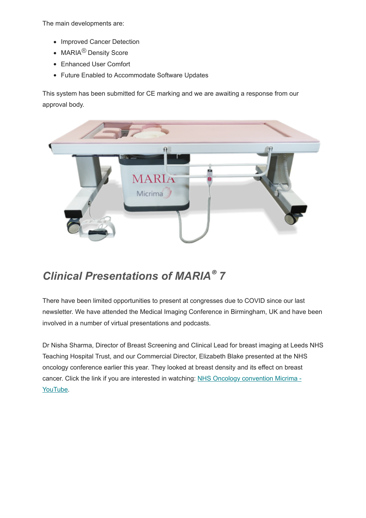The main developments are:

- Improved Cancer Detection
- MARIA<sup>®</sup> Density Score
- Enhanced User Comfort
- Future Enabled to Accommodate Software Updates

This system has been submitted for CE marking and we are awaiting a response from our approval body.



#### *Clinical Presentations of MARIA 7 ®*

There have been limited opportunities to present at congresses due to COVID since our last newsletter. We have attended the Medical Imaging Conference in Birmingham, UK and have been involved in a number of virtual presentations and podcasts.

Dr Nisha Sharma, Director of Breast Screening and Clinical Lead for breast imaging at Leeds NHS Teaching Hospital Trust, and our Commercial Director, Elizabeth Blake presented at the NHS oncology conference earlier this year. They looked at breast density and its effect on breast [cancer. Click the link if you are interested in watching:](https://www.youtube.com/watch?v=IsQz9SZygpI) NHS Oncology convention Micrima - YouTube.